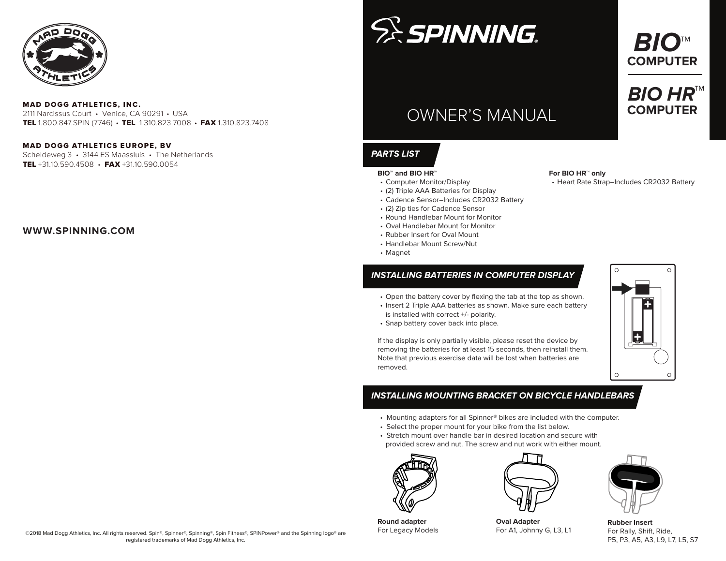

#### MAD DOGG ATHLETICS, INC.

2111 Narcissus Court • Venice, CA 90291 • USA TEL 1.800.847.SPIN (7746) • TEL 1.310.823.7008 • FAX 1.310.823.7408

#### MAD DOGG ATHLETICS EUROPE, BV

Scheldeweg 3 • 3144 ES Maassluis • The Netherlands TEL +31.10.590.4508 • FAX +31.10.590.0054

### **WWW.SPINNING.COM**

# **SE SPINNING**

# OWNER'S MANUAL

# **PARTS LIST**

#### **BIO™ and BIO HR™**

- Computer Monitor/Display
- (2) Triple AAA Batteries for Display
- Cadence Sensor–Includes CR2032 Battery
- (2) Zip ties for Cadence Sensor
- Round Handlebar Mount for Monitor
- Oval Handlebar Mount for Monitor
- Rubber Insert for Oval Mount
- Handlebar Mount Screw/Nut
- Magnet

## **INSTALLING BATTERIES IN COMPUTER DISPLAY**

- Open the battery cover by flexing the tab at the top as shown.
- Insert 2 Triple AAA batteries as shown. Make sure each battery is installed with correct +/- polarity.
- Snap battery cover back into place.

If the display is only partially visible, please reset the device by removing the batteries for at least 15 seconds, then reinstall them. Note that previous exercise data will be lost when batteries are removed.

# $\circ$  $\circ$

 $\bigcap$ 

## **INSTALLING MOUNTING BRACKET ON BICYCLE HANDLEBARS**

- Mounting adapters for all Spinner® bikes are included with the Computer.
- Select the proper mount for your bike from the list below.
- Stretch mount over handle bar in desired location and secure with provided screw and nut. The screw and nut work with either mount.





**Oval Adapter** For A1, Johnny G, L3, L1



**Rubber Insert** For Rally, Shift, Ride, P5, P3, A5, A3, L9, L7, L5, S7

©2018 Mad Dogg Athletics, Inc. All rights reserved. Spin®, Spinner®, Spinning®, Spin Fitness®, SPINPower® and the Spinning logo® are registered trademarks of Mad Dogg Athletics, Inc.

**Round adapter** For Legacy Models **For BIO HR™ only**

• Heart Rate Strap–Includes CR2032 Battery

 $\bigcap$ 

**BIO™ COMPUTER**

**BIO HR™ COMPUTER**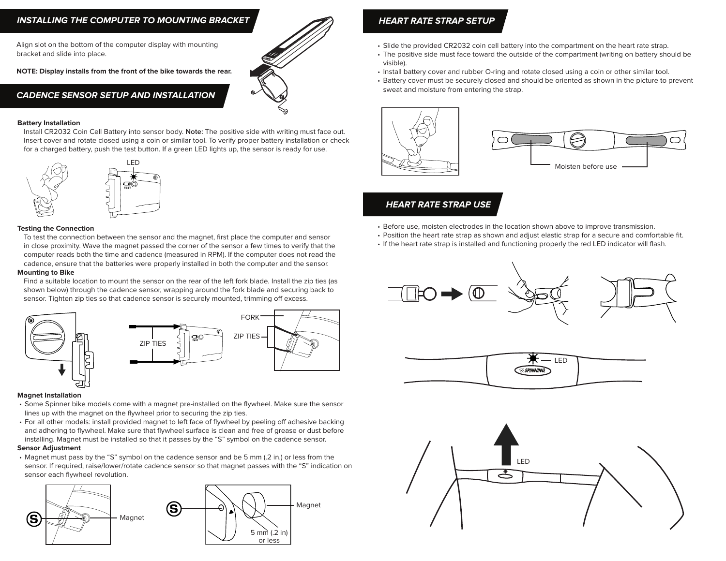#### **INSTALLING THE COMPUTER TO MOUNTING BRACKET**

Align slot on the bottom of the computer display with mounting bracket and slide into place.

**NOTE: Display installs from the front of the bike towards the rear.**

#### **CADENCE SENSOR SETUP AND INSTALLATION**

#### **Battery Installation**

Install CR2032 Coin Cell Battery into sensor body. **Note:** The positive side with writing must face out. Insert cover and rotate closed using a coin or similar tool. To verify proper battery installation or check for a charged battery, push the test button. If a green LED lights up, the sensor is ready for use.



#### **Testing the Connection**

To test the connection between the sensor and the magnet, first place the computer and sensor in close proximity. Wave the magnet passed the corner of the sensor a few times to verify that the computer reads both the time and cadence (measured in RPM). If the computer does not read the cadence, ensure that the batteries were properly installed in both the computer and the sensor.

#### **Mounting to Bike**

Find a suitable location to mount the sensor on the rear of the left fork blade. Install the zip ties (as shown below) through the cadence sensor, wrapping around the fork blade and securing back to sensor. Tighten zip ties so that cadence sensor is securely mounted, trimming off excess.



#### **Magnet Installation**

- Some Spinner bike models come with a magnet pre-installed on the flywheel. Make sure the sensor lines up with the magnet on the flywheel prior to securing the zip ties.
- For all other models: install provided magnet to left face of flywheel by peeling off adhesive backing and adhering to flywheel. Make sure that flywheel surface is clean and free of grease or dust before installing. Magnet must be installed so that it passes by the "S" symbol on the cadence sensor.

#### **Sensor Adjustment**

• Magnet must pass by the "S" symbol on the cadence sensor and be 5 mm (.2 in.) or less from the sensor. If required, raise/lower/rotate cadence sensor so that magnet passes with the "S" indication on sensor each flywheel revolution.



#### **HEART RATE STRAP SETUP**

- Slide the provided CR2032 coin cell battery into the compartment on the heart rate strap.
- The positive side must face toward the outside of the compartment (writing on battery should be visible).
- Install battery cover and rubber O-ring and rotate closed using a coin or other similar tool.
- Battery cover must be securely closed and should be oriented as shown in the picture to prevent sweat and moisture from entering the strap.





#### **HEART RATE STRAP USE**

- Before use, moisten electrodes in the location shown above to improve transmission.
- Position the heart rate strap as shown and adjust elastic strap for a secure and comfortable fit.
- If the heart rate strap is installed and functioning properly the red LED indicator will flash.







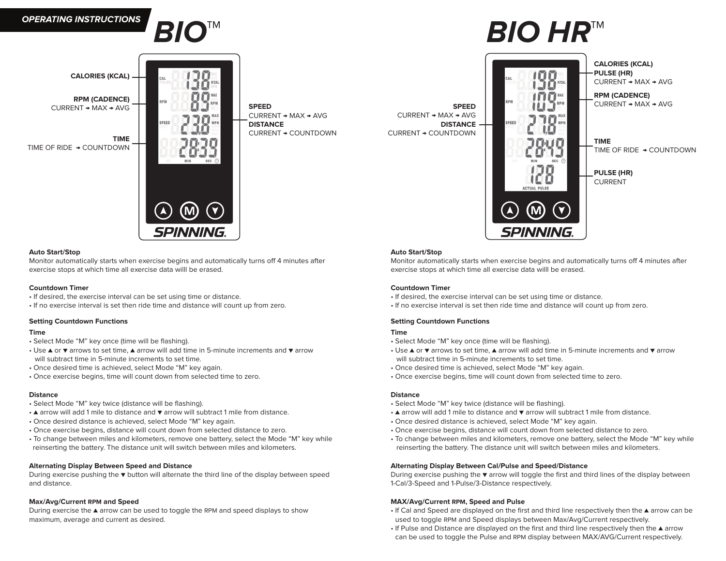



**CALORIES (KCAL)**

**RPM (CADENCE)**  CURRENT → MAX → AVG

**TIME** TIME OF RIDE → COUNTDOWN



CURRENT → MAX → AVG **DISTANCE**  CURRENT → COUNTDOWN

CURRENT → MAX → AVG **DISTANCE**  CURRENT → COUNTDOWN

# **BIO™ BIO HR™**



#### **Auto Start/Stop**

Monitor automatically starts when exercise begins and automatically turns off 4 minutes after exercise stops at which time all exercise data willl be erased.

#### **Countdown Timer**

- If desired, the exercise interval can be set using time or distance.
- If no exercise interval is set then ride time and distance will count up from zero.

#### **Setting Countdown Functions**

#### **Time**

- Select Mode "M" key once (time will be flashing).
- Use ▲ or ▼ arrows to set time, ▲ arrow will add time in 5-minute increments and ▼ arrow will subtract time in 5-minute increments to set time.
- Once desired time is achieved, select Mode "M" key again.
- Once exercise begins, time will count down from selected time to zero.

#### **Distance**

- Select Mode "M" key twice (distance will be flashing).
- ▲ arrow will add 1 mile to distance and ▼ arrow will subtract 1 mile from distance.
- Once desired distance is achieved, select Mode "M" key again.
- Once exercise begins, distance will count down from selected distance to zero.
- To change between miles and kilometers, remove one battery, select the Mode "M" key while reinserting the battery. The distance unit will switch between miles and kilometers.

#### **Alternating Display Between Cal/Pulse and Speed/Distance**

During exercise pushing the ▼ arrow will toggle the first and third lines of the display between 1-Cal/3-Speed and 1-Pulse/3-Distance respectively.

#### **MAX/Avg/Current RPM, Speed and Pulse**

- If Cal and Speed are displayed on the first and third line respectively then the ▲ arrow can be used to toggle RPM and Speed displays between Max/Avg/Current respectively.
- If Pulse and Distance are displayed on the first and third line respectively then the ▲ arrow can be used to toggle the Pulse and RPM display between MAX/AVG/Current respectively.

#### **Auto Start/Stop**

Monitor automatically starts when exercise begins and automatically turns off 4 minutes after exercise stops at which time all exercise data willl be erased.

#### **Countdown Timer**

- If desired, the exercise interval can be set using time or distance.
- If no exercise interval is set then ride time and distance will count up from zero.

#### **Setting Countdown Functions**

#### **Time**

- Select Mode "M" key once (time will be flashing).
- Use ▲ or ▼ arrows to set time, ▲ arrow will add time in 5-minute increments and ▼ arrow will subtract time in 5-minute increments to set time.
- Once desired time is achieved, select Mode "M" key again.
- Once exercise begins, time will count down from selected time to zero.

#### **Distance**

- Select Mode "M" key twice (distance will be flashing).
- ▲ arrow will add 1 mile to distance and ▼ arrow will subtract 1 mile from distance.
- Once desired distance is achieved, select Mode "M" key again.
- Once exercise begins, distance will count down from selected distance to zero.
- To change between miles and kilometers, remove one battery, select the Mode "M" key while reinserting the battery. The distance unit will switch between miles and kilometers.

#### **Alternating Display Between Speed and Distance**

During exercise pushing the ▼ button will alternate the third line of the display between speed and distance.

#### **Max/Avg/Current RPM and Speed**

During exercise the ▲ arrow can be used to toggle the RPM and speed displays to show maximum, average and current as desired.